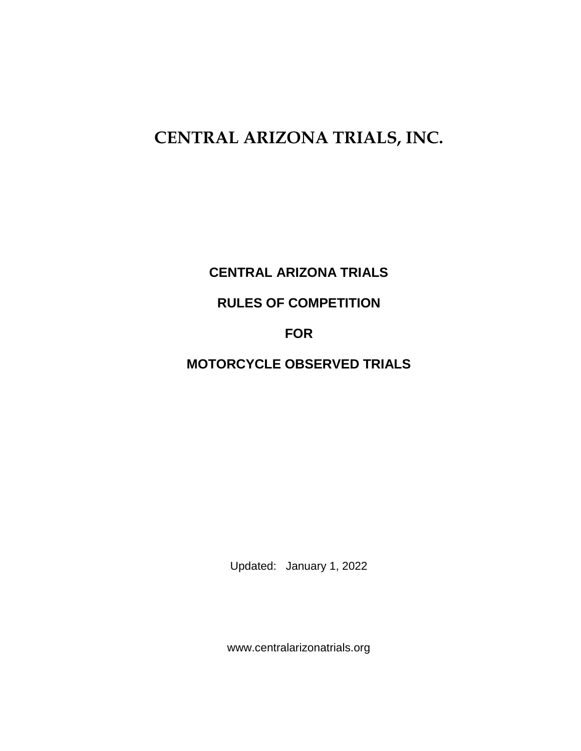# **CENTRAL ARIZONA TRIALS, INC.**

**CENTRAL ARIZONA TRIALS**

**RULES OF COMPETITION**

## **FOR**

# **MOTORCYCLE OBSERVED TRIALS**

Updated: January 1, 2022

www.centralarizonatrials.org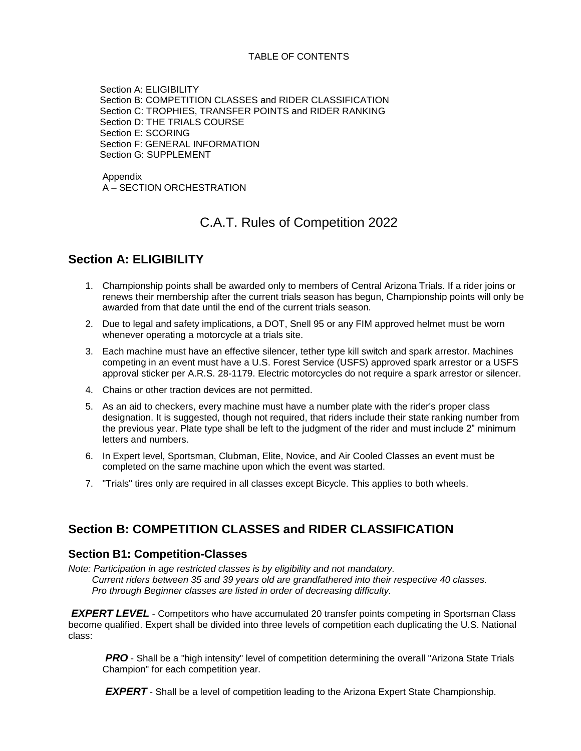#### TABLE OF CONTENTS

 Section A: ELIGIBILITY Section B: COMPETITION CLASSES and RIDER CLASSIFICATION Section C: TROPHIES, TRANSFER POINTS and RIDER RANKING Section D: THE TRIALS COURSE Section E: SCORING Section F: GENERAL INFORMATION Section G: SUPPLEMENT

Appendix A – SECTION ORCHESTRATION

### C.A.T. Rules of Competition 2022

#### **Section A: ELIGIBILITY**

- 1. Championship points shall be awarded only to members of Central Arizona Trials. If a rider joins or renews their membership after the current trials season has begun, Championship points will only be awarded from that date until the end of the current trials season.
- 2. Due to legal and safety implications, a DOT, Snell 95 or any FIM approved helmet must be worn whenever operating a motorcycle at a trials site.
- 3. Each machine must have an effective silencer, tether type kill switch and spark arrestor. Machines competing in an event must have a U.S. Forest Service (USFS) approved spark arrestor or a USFS approval sticker per A.R.S. 28-1179. Electric motorcycles do not require a spark arrestor or silencer.
- 4. Chains or other traction devices are not permitted.
- 5. As an aid to checkers, every machine must have a number plate with the rider's proper class designation. It is suggested, though not required, that riders include their state ranking number from the previous year. Plate type shall be left to the judgment of the rider and must include 2" minimum letters and numbers.
- 6. In Expert level, Sportsman, Clubman, Elite, Novice, and Air Cooled Classes an event must be completed on the same machine upon which the event was started.
- 7. "Trials" tires only are required in all classes except Bicycle. This applies to both wheels.

#### **Section B: COMPETITION CLASSES and RIDER CLASSIFICATION**

#### **Section B1: Competition-Classes**

*Note: Participation in age restricted classes is by eligibility and not mandatory. Current riders between 35 and 39 years old are grandfathered into their respective 40 classes. Pro through Beginner classes are listed in order of decreasing difficulty.*

*EXPERT LEVEL* - Competitors who have accumulated 20 transfer points competing in Sportsman Class become qualified. Expert shall be divided into three levels of competition each duplicating the U.S. National class:

*PRO* - Shall be a "high intensity" level of competition determining the overall "Arizona State Trials Champion" for each competition year.

*EXPERT* - Shall be a level of competition leading to the Arizona Expert State Championship.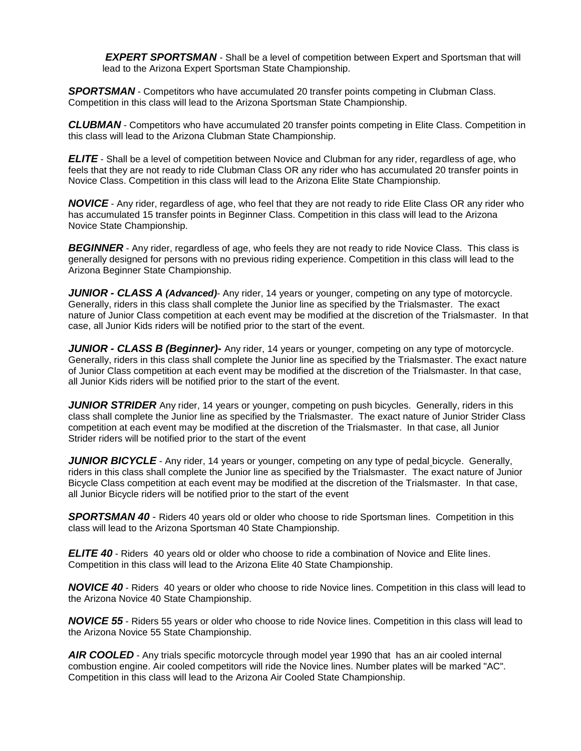**EXPERT SPORTSMAN** - Shall be a level of competition between Expert and Sportsman that will lead to the Arizona Expert Sportsman State Championship.

**SPORTSMAN** - Competitors who have accumulated 20 transfer points competing in Clubman Class. Competition in this class will lead to the Arizona Sportsman State Championship.

*CLUBMAN* - Competitors who have accumulated 20 transfer points competing in Elite Class. Competition in this class will lead to the Arizona Clubman State Championship.

*ELITE* - Shall be a level of competition between Novice and Clubman for any rider, regardless of age, who feels that they are not ready to ride Clubman Class OR any rider who has accumulated 20 transfer points in Novice Class. Competition in this class will lead to the Arizona Elite State Championship.

*NOVICE* - Any rider, regardless of age, who feel that they are not ready to ride Elite Class OR any rider who has accumulated 15 transfer points in Beginner Class. Competition in this class will lead to the Arizona Novice State Championship.

**BEGINNER** - Any rider, regardless of age, who feels they are not ready to ride Novice Class. This class is generally designed for persons with no previous riding experience. Competition in this class will lead to the Arizona Beginner State Championship.

*JUNIOR - CLASS A (Advanced)*- Any rider, 14 years or younger, competing on any type of motorcycle. Generally, riders in this class shall complete the Junior line as specified by the Trialsmaster. The exact nature of Junior Class competition at each event may be modified at the discretion of the Trialsmaster. In that case, all Junior Kids riders will be notified prior to the start of the event.

*JUNIOR - CLASS B (Beginner)-* Any rider, 14 years or younger, competing on any type of motorcycle. Generally, riders in this class shall complete the Junior line as specified by the Trialsmaster. The exact nature of Junior Class competition at each event may be modified at the discretion of the Trialsmaster. In that case, all Junior Kids riders will be notified prior to the start of the event.

**JUNIOR STRIDER** Any rider, 14 years or younger, competing on push bicycles. Generally, riders in this class shall complete the Junior line as specified by the Trialsmaster. The exact nature of Junior Strider Class competition at each event may be modified at the discretion of the Trialsmaster. In that case, all Junior Strider riders will be notified prior to the start of the event

*JUNIOR BICYCLE* - Any rider, 14 years or younger, competing on any type of pedal bicycle. Generally, riders in this class shall complete the Junior line as specified by the Trialsmaster. The exact nature of Junior Bicycle Class competition at each event may be modified at the discretion of the Trialsmaster. In that case, all Junior Bicycle riders will be notified prior to the start of the event

*SPORTSMAN 40* - Riders 40 years old or older who choose to ride Sportsman lines. Competition in this class will lead to the Arizona Sportsman 40 State Championship.

*ELITE 40* - Riders 40 years old or older who choose to ride a combination of Novice and Elite lines. Competition in this class will lead to the Arizona Elite 40 State Championship.

*NOVICE 40* - Riders 40 years or older who choose to ride Novice lines. Competition in this class will lead to the Arizona Novice 40 State Championship.

*NOVICE 55* - Riders 55 years or older who choose to ride Novice lines. Competition in this class will lead to the Arizona Novice 55 State Championship.

**AIR COOLED** - Any trials specific motorcycle through model year 1990 that has an air cooled internal combustion engine. Air cooled competitors will ride the Novice lines. Number plates will be marked "AC". Competition in this class will lead to the Arizona Air Cooled State Championship.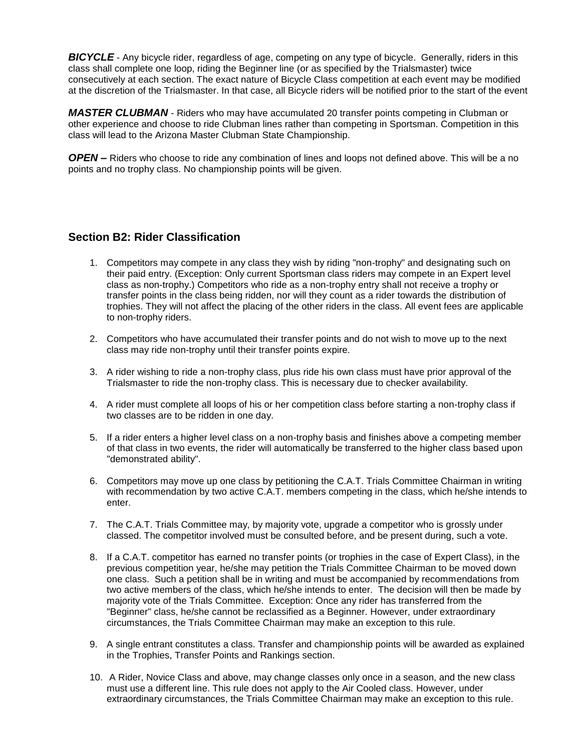**BICYCLE** - Any bicycle rider, regardless of age, competing on any type of bicycle. Generally, riders in this class shall complete one loop, riding the Beginner line (or as specified by the Trialsmaster) twice consecutively at each section. The exact nature of Bicycle Class competition at each event may be modified at the discretion of the Trialsmaster. In that case, all Bicycle riders will be notified prior to the start of the event

*MASTER CLUBMAN* - Riders who may have accumulated 20 transfer points competing in Clubman or other experience and choose to ride Clubman lines rather than competing in Sportsman. Competition in this class will lead to the Arizona Master Clubman State Championship.

*OPEN –* Riders who choose to ride any combination of lines and loops not defined above. This will be a no points and no trophy class. No championship points will be given.

#### **Section B2: Rider Classification**

- 1. Competitors may compete in any class they wish by riding "non-trophy" and designating such on their paid entry. (Exception: Only current Sportsman class riders may compete in an Expert level class as non-trophy.) Competitors who ride as a non-trophy entry shall not receive a trophy or transfer points in the class being ridden, nor will they count as a rider towards the distribution of trophies. They will not affect the placing of the other riders in the class. All event fees are applicable to non-trophy riders.
- 2. Competitors who have accumulated their transfer points and do not wish to move up to the next class may ride non-trophy until their transfer points expire.
- 3. A rider wishing to ride a non-trophy class, plus ride his own class must have prior approval of the Trialsmaster to ride the non-trophy class. This is necessary due to checker availability.
- 4. A rider must complete all loops of his or her competition class before starting a non-trophy class if two classes are to be ridden in one day.
- 5. If a rider enters a higher level class on a non-trophy basis and finishes above a competing member of that class in two events, the rider will automatically be transferred to the higher class based upon "demonstrated ability".
- 6. Competitors may move up one class by petitioning the C.A.T. Trials Committee Chairman in writing with recommendation by two active C.A.T. members competing in the class, which he/she intends to enter.
- 7. The C.A.T. Trials Committee may, by majority vote, upgrade a competitor who is grossly under classed. The competitor involved must be consulted before, and be present during, such a vote.
- 8. If a C.A.T. competitor has earned no transfer points (or trophies in the case of Expert Class), in the previous competition year, he/she may petition the Trials Committee Chairman to be moved down one class. Such a petition shall be in writing and must be accompanied by recommendations from two active members of the class, which he/she intends to enter. The decision will then be made by majority vote of the Trials Committee. Exception: Once any rider has transferred from the "Beginner" class, he/she cannot be reclassified as a Beginner. However, under extraordinary circumstances, the Trials Committee Chairman may make an exception to this rule.
- 9. A single entrant constitutes a class. Transfer and championship points will be awarded as explained in the Trophies, Transfer Points and Rankings section.
- 10. A Rider, Novice Class and above, may change classes only once in a season, and the new class must use a different line. This rule does not apply to the Air Cooled class. However, under extraordinary circumstances, the Trials Committee Chairman may make an exception to this rule.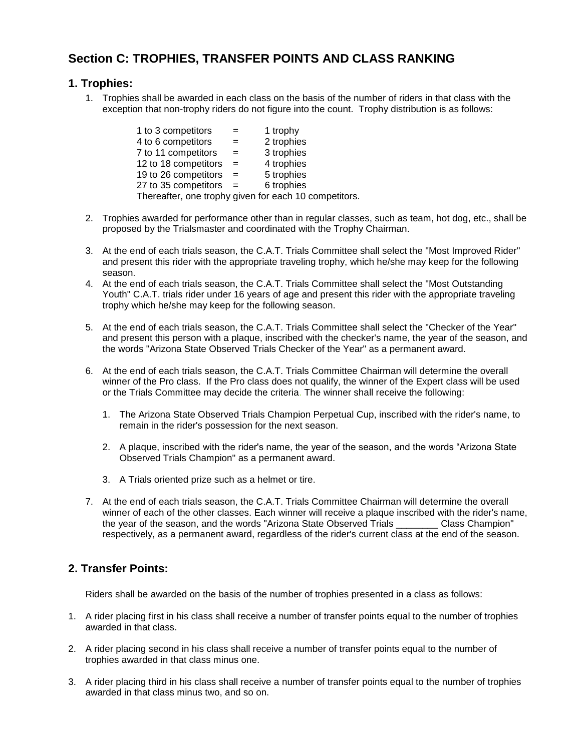### **Section C: TROPHIES, TRANSFER POINTS AND CLASS RANKING**

#### **1. Trophies:**

1. Trophies shall be awarded in each class on the basis of the number of riders in that class with the exception that non-trophy riders do not figure into the count. Trophy distribution is as follows:

| 1 to 3 competitors   | $=$ | 1 trophy                                              |
|----------------------|-----|-------------------------------------------------------|
| 4 to 6 competitors   |     | 2 trophies                                            |
| 7 to 11 competitors  | $=$ | 3 trophies                                            |
| 12 to 18 competitors | $=$ | 4 trophies                                            |
| 19 to 26 competitors | $=$ | 5 trophies                                            |
| 27 to 35 competitors |     | 6 trophies                                            |
|                      |     | Thereafter, one trophy given for each 10 competitors. |

- 2. Trophies awarded for performance other than in regular classes, such as team, hot dog, etc., shall be proposed by the Trialsmaster and coordinated with the Trophy Chairman.
- 3. At the end of each trials season, the C.A.T. Trials Committee shall select the "Most Improved Rider" and present this rider with the appropriate traveling trophy, which he/she may keep for the following season.
- 4. At the end of each trials season, the C.A.T. Trials Committee shall select the "Most Outstanding Youth" C.A.T. trials rider under 16 years of age and present this rider with the appropriate traveling trophy which he/she may keep for the following season.
- 5. At the end of each trials season, the C.A.T. Trials Committee shall select the "Checker of the Year" and present this person with a plaque, inscribed with the checker's name, the year of the season, and the words "Arizona State Observed Trials Checker of the Year" as a permanent award.
- 6. At the end of each trials season, the C.A.T. Trials Committee Chairman will determine the overall winner of the Pro class. If the Pro class does not qualify, the winner of the Expert class will be used or the Trials Committee may decide the criteria. The winner shall receive the following:
	- 1. The Arizona State Observed Trials Champion Perpetual Cup, inscribed with the rider's name, to remain in the rider's possession for the next season.
	- 2. A plaque, inscribed with the rider's name, the year of the season, and the words "Arizona State Observed Trials Champion" as a permanent award.
	- 3. A Trials oriented prize such as a helmet or tire.
- 7. At the end of each trials season, the C.A.T. Trials Committee Chairman will determine the overall winner of each of the other classes. Each winner will receive a plaque inscribed with the rider's name, the year of the season, and the words "Arizona State Observed Trials \_\_\_\_\_\_\_\_ Class Champion" respectively, as a permanent award, regardless of the rider's current class at the end of the season.

#### **2. Transfer Points:**

Riders shall be awarded on the basis of the number of trophies presented in a class as follows:

- 1. A rider placing first in his class shall receive a number of transfer points equal to the number of trophies awarded in that class.
- 2. A rider placing second in his class shall receive a number of transfer points equal to the number of trophies awarded in that class minus one.
- 3. A rider placing third in his class shall receive a number of transfer points equal to the number of trophies awarded in that class minus two, and so on.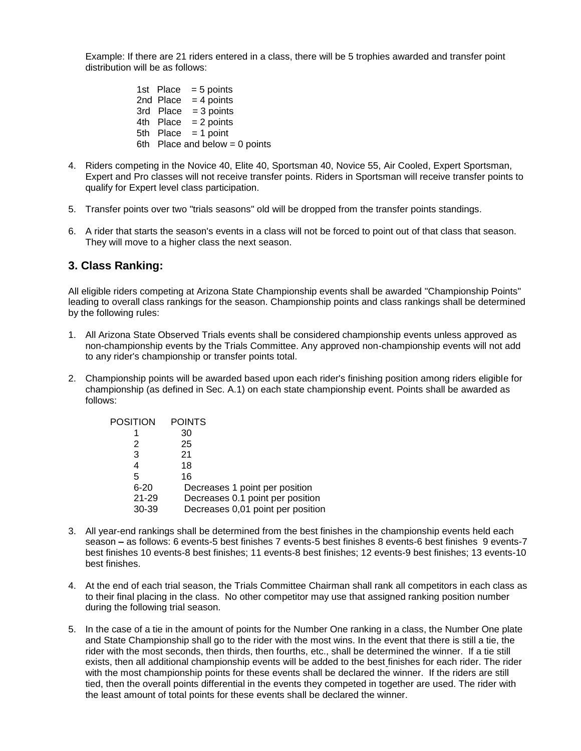Example: If there are 21 riders entered in a class, there will be 5 trophies awarded and transfer point distribution will be as follows:

> 1st Place  $= 5$  points 2nd Place  $= 4$  points 3rd  $Place = 3 points$ 4th  $Place = 2 points$ 5th Place  $= 1$  point 6th Place and below  $= 0$  points

- 4. Riders competing in the Novice 40, Elite 40, Sportsman 40, Novice 55, Air Cooled, Expert Sportsman, Expert and Pro classes will not receive transfer points. Riders in Sportsman will receive transfer points to qualify for Expert level class participation.
- 5. Transfer points over two "trials seasons" old will be dropped from the transfer points standings.
- 6. A rider that starts the season's events in a class will not be forced to point out of that class that season. They will move to a higher class the next season.

#### **3. Class Ranking:**

All eligible riders competing at Arizona State Championship events shall be awarded "Championship Points" leading to overall class rankings for the season. Championship points and class rankings shall be determined by the following rules:

- 1. All Arizona State Observed Trials events shall be considered championship events unless approved as non-championship events by the Trials Committee. Any approved non-championship events will not add to any rider's championship or transfer points total.
- 2. Championship points will be awarded based upon each rider's finishing position among riders eligible for championship (as defined in Sec. A.1) on each state championship event. Points shall be awarded as follows:

| <b>POSITION</b> | <b>POINTS</b>                     |
|-----------------|-----------------------------------|
|                 | 30                                |
| 2               | 25                                |
| 3               | 21                                |
| 4               | 18                                |
| 5               | 16                                |
| $6 - 20$        | Decreases 1 point per position    |
| $21 - 29$       | Decreases 0.1 point per position  |
| 30-39           | Decreases 0,01 point per position |
|                 |                                   |

- 3. All year-end rankings shall be determined from the best finishes in the championship events held each season **–** as follows: 6 events-5 best finishes 7 events-5 best finishes 8 events-6 best finishes 9 events-7 best finishes 10 events-8 best finishes; 11 events-8 best finishes; 12 events-9 best finishes; 13 events-10 best finishes.
- 4. At the end of each trial season, the Trials Committee Chairman shall rank all competitors in each class as to their final placing in the class. No other competitor may use that assigned ranking position number during the following trial season.
- 5. In the case of a tie in the amount of points for the Number One ranking in a class, the Number One plate and State Championship shall go to the rider with the most wins. In the event that there is still a tie, the rider with the most seconds, then thirds, then fourths, etc., shall be determined the winner. If a tie still exists, then all additional championship events will be added to the best finishes for each rider. The rider with the most championship points for these events shall be declared the winner. If the riders are still tied, then the overall points differential in the events they competed in together are used. The rider with the least amount of total points for these events shall be declared the winner.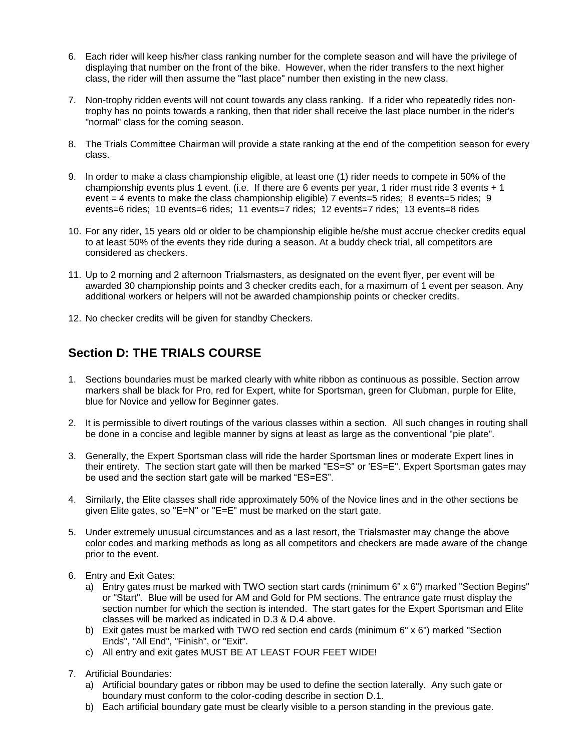- 6. Each rider will keep his/her class ranking number for the complete season and will have the privilege of displaying that number on the front of the bike. However, when the rider transfers to the next higher class, the rider will then assume the "last place" number then existing in the new class.
- 7. Non-trophy ridden events will not count towards any class ranking. If a rider who repeatedly rides nontrophy has no points towards a ranking, then that rider shall receive the last place number in the rider's "normal" class for the coming season.
- 8. The Trials Committee Chairman will provide a state ranking at the end of the competition season for every class.
- 9. In order to make a class championship eligible, at least one (1) rider needs to compete in 50% of the championship events plus 1 event. (i.e. If there are 6 events per year, 1 rider must ride 3 events + 1 event = 4 events to make the class championship eligible) 7 events=5 rides; 8 events=5 rides; 9 events=6 rides; 10 events=6 rides; 11 events=7 rides; 12 events=7 rides; 13 events=8 rides
- 10. For any rider, 15 years old or older to be championship eligible he/she must accrue checker credits equal to at least 50% of the events they ride during a season. At a buddy check trial, all competitors are considered as checkers.
- 11. Up to 2 morning and 2 afternoon Trialsmasters, as designated on the event flyer, per event will be awarded 30 championship points and 3 checker credits each, for a maximum of 1 event per season. Any additional workers or helpers will not be awarded championship points or checker credits.
- 12. No checker credits will be given for standby Checkers.

### **Section D: THE TRIALS COURSE**

- 1. Sections boundaries must be marked clearly with white ribbon as continuous as possible. Section arrow markers shall be black for Pro, red for Expert, white for Sportsman, green for Clubman, purple for Elite, blue for Novice and yellow for Beginner gates.
- 2. It is permissible to divert routings of the various classes within a section. All such changes in routing shall be done in a concise and legible manner by signs at least as large as the conventional "pie plate".
- 3. Generally, the Expert Sportsman class will ride the harder Sportsman lines or moderate Expert lines in their entirety. The section start gate will then be marked "ES=S" or 'ES=E". Expert Sportsman gates may be used and the section start gate will be marked "ES=ES".
- 4. Similarly, the Elite classes shall ride approximately 50% of the Novice lines and in the other sections be given Elite gates, so "E=N" or "E=E" must be marked on the start gate.
- 5. Under extremely unusual circumstances and as a last resort, the Trialsmaster may change the above color codes and marking methods as long as all competitors and checkers are made aware of the change prior to the event.
- 6. Entry and Exit Gates:
	- a) Entry gates must be marked with TWO section start cards (minimum 6" x 6") marked "Section Begins" or "Start". Blue will be used for AM and Gold for PM sections. The entrance gate must display the section number for which the section is intended. The start gates for the Expert Sportsman and Elite classes will be marked as indicated in D.3 & D.4 above.
	- b) Exit gates must be marked with TWO red section end cards (minimum 6" x 6") marked "Section Ends", "All End", "Finish", or "Exit".
	- c) All entry and exit gates MUST BE AT LEAST FOUR FEET WIDE!
- 7. Artificial Boundaries:
	- a) Artificial boundary gates or ribbon may be used to define the section laterally. Any such gate or boundary must conform to the color-coding describe in section D.1.
	- b) Each artificial boundary gate must be clearly visible to a person standing in the previous gate.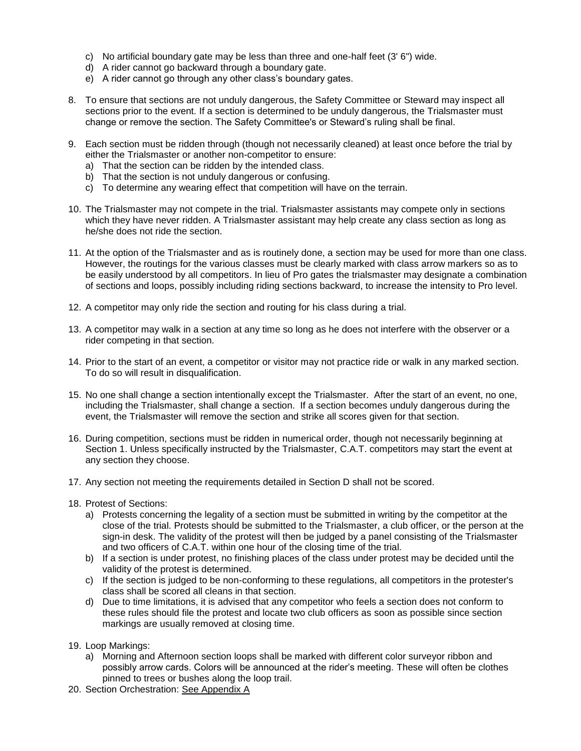- c) No artificial boundary gate may be less than three and one-half feet (3' 6") wide.
- d) A rider cannot go backward through a boundary gate.
- e) A rider cannot go through any other class's boundary gates.
- 8. To ensure that sections are not unduly dangerous, the Safety Committee or Steward may inspect all sections prior to the event. If a section is determined to be unduly dangerous, the Trialsmaster must change or remove the section. The Safety Committee's or Steward's ruling shall be final.
- 9. Each section must be ridden through (though not necessarily cleaned) at least once before the trial by either the Trialsmaster or another non-competitor to ensure:
	- a) That the section can be ridden by the intended class.
	- b) That the section is not unduly dangerous or confusing.
	- c) To determine any wearing effect that competition will have on the terrain.
- 10. The Trialsmaster may not compete in the trial. Trialsmaster assistants may compete only in sections which they have never ridden. A Trialsmaster assistant may help create any class section as long as he/she does not ride the section.
- 11. At the option of the Trialsmaster and as is routinely done, a section may be used for more than one class. However, the routings for the various classes must be clearly marked with class arrow markers so as to be easily understood by all competitors. In lieu of Pro gates the trialsmaster may designate a combination of sections and loops, possibly including riding sections backward, to increase the intensity to Pro level.
- 12. A competitor may only ride the section and routing for his class during a trial.
- 13. A competitor may walk in a section at any time so long as he does not interfere with the observer or a rider competing in that section.
- 14. Prior to the start of an event, a competitor or visitor may not practice ride or walk in any marked section. To do so will result in disqualification.
- 15. No one shall change a section intentionally except the Trialsmaster. After the start of an event, no one, including the Trialsmaster, shall change a section. If a section becomes unduly dangerous during the event, the Trialsmaster will remove the section and strike all scores given for that section.
- 16. During competition, sections must be ridden in numerical order, though not necessarily beginning at Section 1. Unless specifically instructed by the Trialsmaster, C.A.T. competitors may start the event at any section they choose.
- 17. Any section not meeting the requirements detailed in Section D shall not be scored.
- 18. Protest of Sections:
	- a) Protests concerning the legality of a section must be submitted in writing by the competitor at the close of the trial. Protests should be submitted to the Trialsmaster, a club officer, or the person at the sign-in desk. The validity of the protest will then be judged by a panel consisting of the Trialsmaster and two officers of C.A.T. within one hour of the closing time of the trial.
	- b) If a section is under protest, no finishing places of the class under protest may be decided until the validity of the protest is determined.
	- c) If the section is judged to be non-conforming to these regulations, all competitors in the protester's class shall be scored all cleans in that section.
	- d) Due to time limitations, it is advised that any competitor who feels a section does not conform to these rules should file the protest and locate two club officers as soon as possible since section markings are usually removed at closing time.
- 19. Loop Markings:
	- a) Morning and Afternoon section loops shall be marked with different color surveyor ribbon and possibly arrow cards. Colors will be announced at the rider's meeting. These will often be clothes pinned to trees or bushes along the loop trail.
- 20. Section Orchestration: See Appendix A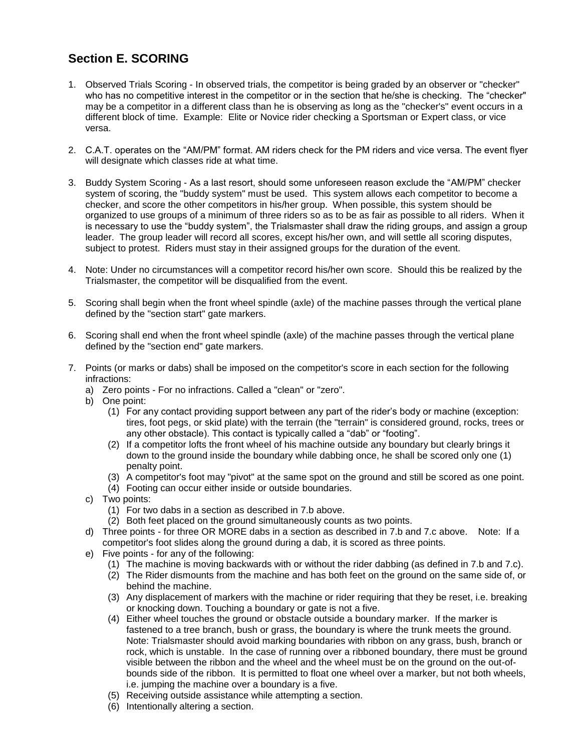### **Section E. SCORING**

- 1. Observed Trials Scoring In observed trials, the competitor is being graded by an observer or "checker" who has no competitive interest in the competitor or in the section that he/she is checking. The "checker" may be a competitor in a different class than he is observing as long as the "checker's" event occurs in a different block of time. Example: Elite or Novice rider checking a Sportsman or Expert class, or vice versa.
- 2. C.A.T. operates on the "AM/PM" format. AM riders check for the PM riders and vice versa. The event flyer will designate which classes ride at what time.
- 3. Buddy System Scoring As a last resort, should some unforeseen reason exclude the "AM/PM" checker system of scoring, the "buddy system" must be used. This system allows each competitor to become a checker, and score the other competitors in his/her group. When possible, this system should be organized to use groups of a minimum of three riders so as to be as fair as possible to all riders. When it is necessary to use the "buddy system", the Trialsmaster shall draw the riding groups, and assign a group leader. The group leader will record all scores, except his/her own, and will settle all scoring disputes, subject to protest. Riders must stay in their assigned groups for the duration of the event.
- 4. Note: Under no circumstances will a competitor record his/her own score. Should this be realized by the Trialsmaster, the competitor will be disqualified from the event.
- 5. Scoring shall begin when the front wheel spindle (axle) of the machine passes through the vertical plane defined by the "section start" gate markers.
- 6. Scoring shall end when the front wheel spindle (axle) of the machine passes through the vertical plane defined by the "section end" gate markers.
- 7. Points (or marks or dabs) shall be imposed on the competitor's score in each section for the following infractions:
	- a) Zero points For no infractions. Called a "clean" or "zero".
	- b) One point:
		- (1) For any contact providing support between any part of the rider's body or machine (exception: tires, foot pegs, or skid plate) with the terrain (the "terrain" is considered ground, rocks, trees or any other obstacle). This contact is typically called a "dab" or "footing".
		- (2) If a competitor lofts the front wheel of his machine outside any boundary but clearly brings it down to the ground inside the boundary while dabbing once, he shall be scored only one (1) penalty point.
		- (3) A competitor's foot may "pivot" at the same spot on the ground and still be scored as one point.
		- (4) Footing can occur either inside or outside boundaries.
	- c) Two points:
		- (1) For two dabs in a section as described in 7.b above.
		- (2) Both feet placed on the ground simultaneously counts as two points.
	- d) Three points for three OR MORE dabs in a section as described in 7.b and 7.c above. Note: If a competitor's foot slides along the ground during a dab, it is scored as three points.
	- e) Five points for any of the following:
		- (1) The machine is moving backwards with or without the rider dabbing (as defined in 7.b and 7.c).
		- (2) The Rider dismounts from the machine and has both feet on the ground on the same side of, or behind the machine.
		- (3) Any displacement of markers with the machine or rider requiring that they be reset, i.e. breaking or knocking down. Touching a boundary or gate is not a five.
		- (4) Either wheel touches the ground or obstacle outside a boundary marker. If the marker is fastened to a tree branch, bush or grass, the boundary is where the trunk meets the ground. Note: Trialsmaster should avoid marking boundaries with ribbon on any grass, bush, branch or rock, which is unstable. In the case of running over a ribboned boundary, there must be ground visible between the ribbon and the wheel and the wheel must be on the ground on the out-ofbounds side of the ribbon. It is permitted to float one wheel over a marker, but not both wheels, i.e. jumping the machine over a boundary is a five.
		- (5) Receiving outside assistance while attempting a section.
		- (6) Intentionally altering a section.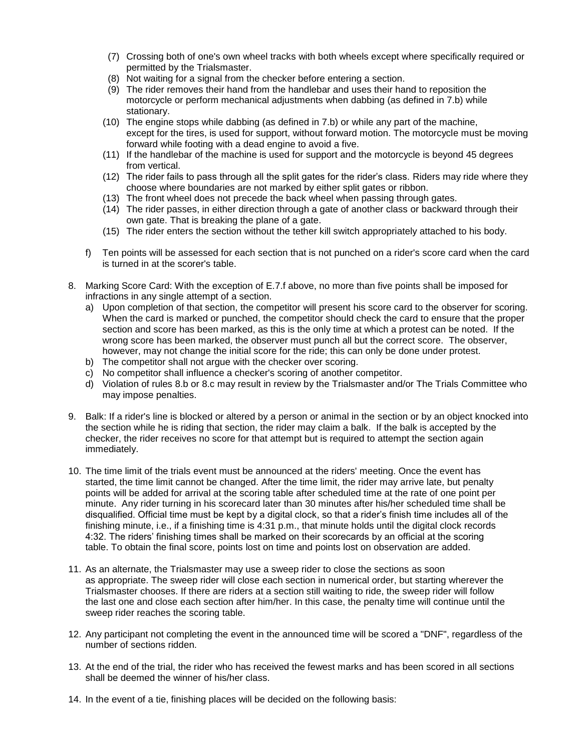- (7) Crossing both of one's own wheel tracks with both wheels except where specifically required or permitted by the Trialsmaster.
- (8) Not waiting for a signal from the checker before entering a section.
- (9) The rider removes their hand from the handlebar and uses their hand to reposition the motorcycle or perform mechanical adjustments when dabbing (as defined in 7.b) while stationary.
- (10) The engine stops while dabbing (as defined in 7.b) or while any part of the machine, except for the tires, is used for support, without forward motion. The motorcycle must be moving forward while footing with a dead engine to avoid a five.
- (11) If the handlebar of the machine is used for support and the motorcycle is beyond 45 degrees from vertical.
- (12) The rider fails to pass through all the split gates for the rider's class. Riders may ride where they choose where boundaries are not marked by either split gates or ribbon.
- (13) The front wheel does not precede the back wheel when passing through gates.
- (14) The rider passes, in either direction through a gate of another class or backward through their own gate. That is breaking the plane of a gate.
- (15) The rider enters the section without the tether kill switch appropriately attached to his body.
- f) Ten points will be assessed for each section that is not punched on a rider's score card when the card is turned in at the scorer's table.
- 8. Marking Score Card: With the exception of E.7.f above, no more than five points shall be imposed for infractions in any single attempt of a section.
	- a) Upon completion of that section, the competitor will present his score card to the observer for scoring. When the card is marked or punched, the competitor should check the card to ensure that the proper section and score has been marked, as this is the only time at which a protest can be noted. If the wrong score has been marked, the observer must punch all but the correct score. The observer, however, may not change the initial score for the ride; this can only be done under protest.
	- b) The competitor shall not argue with the checker over scoring.
	- c) No competitor shall influence a checker's scoring of another competitor.
	- d) Violation of rules 8.b or 8.c may result in review by the Trialsmaster and/or The Trials Committee who may impose penalties.
- 9. Balk: If a rider's line is blocked or altered by a person or animal in the section or by an object knocked into the section while he is riding that section, the rider may claim a balk. If the balk is accepted by the checker, the rider receives no score for that attempt but is required to attempt the section again immediately.
- 10. The time limit of the trials event must be announced at the riders' meeting. Once the event has started, the time limit cannot be changed. After the time limit, the rider may arrive late, but penalty points will be added for arrival at the scoring table after scheduled time at the rate of one point per minute. Any rider turning in his scorecard later than 30 minutes after his/her scheduled time shall be disqualified. Official time must be kept by a digital clock, so that a rider's finish time includes all of the finishing minute, i.e., if a finishing time is 4:31 p.m., that minute holds until the digital clock records 4:32. The riders' finishing times shall be marked on their scorecards by an official at the scoring table. To obtain the final score, points lost on time and points lost on observation are added.
- 11. As an alternate, the Trialsmaster may use a sweep rider to close the sections as soon as appropriate. The sweep rider will close each section in numerical order, but starting wherever the Trialsmaster chooses. If there are riders at a section still waiting to ride, the sweep rider will follow the last one and close each section after him/her. In this case, the penalty time will continue until the sweep rider reaches the scoring table.
- 12. Any participant not completing the event in the announced time will be scored a "DNF", regardless of the number of sections ridden.
- 13. At the end of the trial, the rider who has received the fewest marks and has been scored in all sections shall be deemed the winner of his/her class.
- 14. In the event of a tie, finishing places will be decided on the following basis: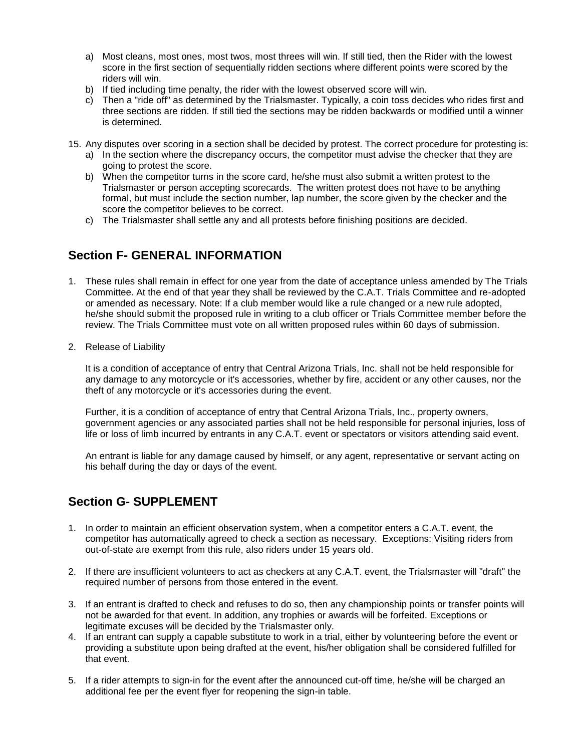- a) Most cleans, most ones, most twos, most threes will win. If still tied, then the Rider with the lowest score in the first section of sequentially ridden sections where different points were scored by the riders will win.
- b) If tied including time penalty, the rider with the lowest observed score will win.
- c) Then a "ride off" as determined by the Trialsmaster. Typically, a coin toss decides who rides first and three sections are ridden. If still tied the sections may be ridden backwards or modified until a winner is determined.
- 15. Any disputes over scoring in a section shall be decided by protest. The correct procedure for protesting is:
	- a) In the section where the discrepancy occurs, the competitor must advise the checker that they are going to protest the score.
	- b) When the competitor turns in the score card, he/she must also submit a written protest to the Trialsmaster or person accepting scorecards. The written protest does not have to be anything formal, but must include the section number, lap number, the score given by the checker and the score the competitor believes to be correct.
	- c) The Trialsmaster shall settle any and all protests before finishing positions are decided.

### **Section F- GENERAL INFORMATION**

- 1. These rules shall remain in effect for one year from the date of acceptance unless amended by The Trials Committee. At the end of that year they shall be reviewed by the C.A.T. Trials Committee and re-adopted or amended as necessary. Note: If a club member would like a rule changed or a new rule adopted, he/she should submit the proposed rule in writing to a club officer or Trials Committee member before the review. The Trials Committee must vote on all written proposed rules within 60 days of submission.
- 2. Release of Liability

It is a condition of acceptance of entry that Central Arizona Trials, Inc. shall not be held responsible for any damage to any motorcycle or it's accessories, whether by fire, accident or any other causes, nor the theft of any motorcycle or it's accessories during the event.

Further, it is a condition of acceptance of entry that Central Arizona Trials, Inc., property owners, government agencies or any associated parties shall not be held responsible for personal injuries, loss of life or loss of limb incurred by entrants in any C.A.T. event or spectators or visitors attending said event.

An entrant is liable for any damage caused by himself, or any agent, representative or servant acting on his behalf during the day or days of the event.

### **Section G- SUPPLEMENT**

- 1. In order to maintain an efficient observation system, when a competitor enters a C.A.T. event, the competitor has automatically agreed to check a section as necessary. Exceptions: Visiting riders from out-of-state are exempt from this rule, also riders under 15 years old.
- 2. If there are insufficient volunteers to act as checkers at any C.A.T. event, the Trialsmaster will "draft" the required number of persons from those entered in the event.
- 3. If an entrant is drafted to check and refuses to do so, then any championship points or transfer points will not be awarded for that event. In addition, any trophies or awards will be forfeited. Exceptions or legitimate excuses will be decided by the Trialsmaster only.
- 4. If an entrant can supply a capable substitute to work in a trial, either by volunteering before the event or providing a substitute upon being drafted at the event, his/her obligation shall be considered fulfilled for that event.
- 5. If a rider attempts to sign-in for the event after the announced cut-off time, he/she will be charged an additional fee per the event flyer for reopening the sign-in table.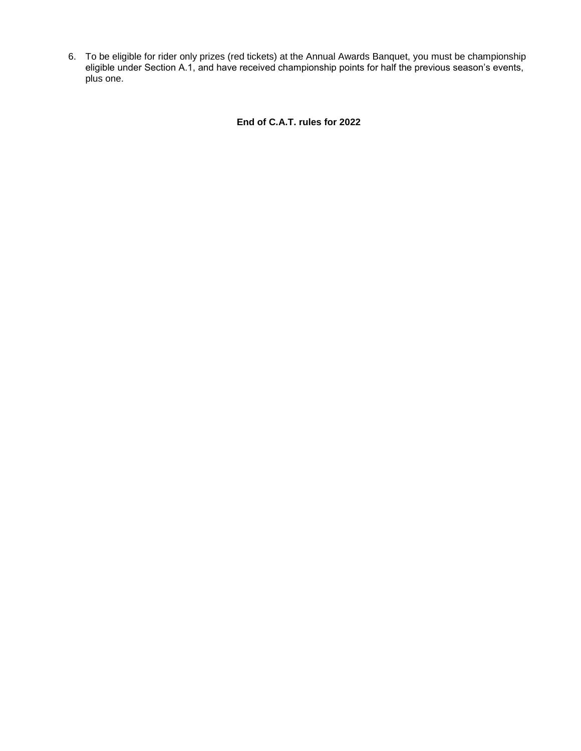6. To be eligible for rider only prizes (red tickets) at the Annual Awards Banquet, you must be championship eligible under Section A.1, and have received championship points for half the previous season's events, plus one.

**End of C.A.T. rules for 2022**